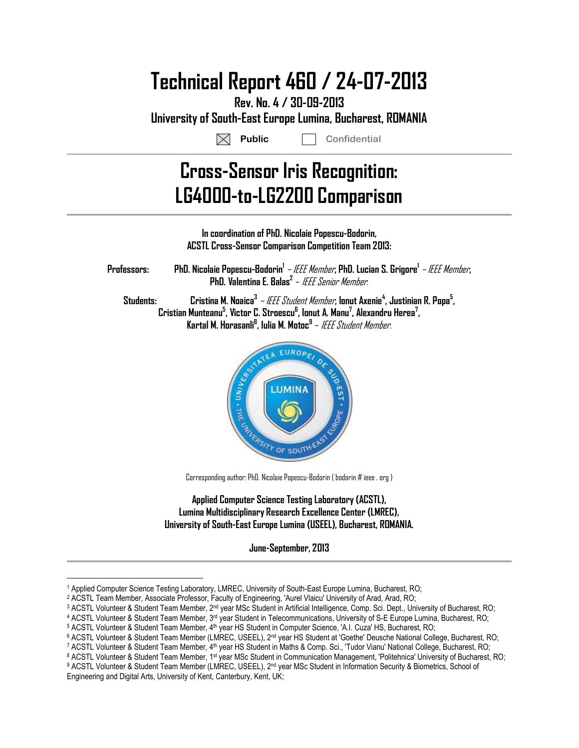# **Technical Report 460 / 24-07-2013**

**Rev. No. 4 / 30-09-2013 University of South-East Europe Lumina, Bucharest, ROMANIA**

**Public Confidential**

# **Cross-Sensor Iris Recognition: LG4000-to-LG2200 Comparison**



Corresponding author: PhD. Nicolaie Popescu-Bodorin ( bodorin # ieee . org )

**Applied Computer Science Testing Laboratory (ACSTL), Lumina Multidisciplinary Research Excellence Center (LMREC), University of South-East Europe Lumina (USEEL), Bucharest, ROMANIA.**

**June-September, 2013** 

<u>.</u>

<sup>1</sup> Applied Computer Science Testing Laboratory, LMREC, University of South-East Europe Lumina, Bucharest, RO;

<sup>2</sup> ACSTL Team Member, Associate Professor, Faculty of Engineering, 'Aurel Vlaicu' University of Arad, Arad, RO;

 $^3$  ACSTL Volunteer & Student Team Member, 2nd year MSc Student in Artificial Intelligence, Comp. Sci. Dept., University of Bucharest, RO;

<sup>4</sup> ACSTL Volunteer & Student Team Member, 3<sup>rd</sup> year Student in Telecommunications, University of S-E Europe Lumina, Bucharest, RO;

<sup>5</sup> ACSTL Volunteer & Student Team Member, 4<sup>th</sup> year HS Student in Computer Science, 'A.I. Cuza' HS, Bucharest, RO;

<sup>6</sup> ACSTL Volunteer & Student Team Member (LMREC, USEEL), 2<sup>nd</sup> year HS Student at 'Goethe' Deusche National College, Bucharest, RO;

<sup>7</sup> ACSTL Volunteer & Student Team Member, 4th year HS Student in Maths & Comp. Sci., 'Tudor Vianu' National College, Bucharest, RO;

<sup>8</sup> ACSTL Volunteer & Student Team Member, 1st year MSc Student in Communication Management, 'Politehnica' University of Bucharest, RO;

<sup>9</sup> ACSTL Volunteer & Student Team Member (LMREC, USEEL), 2<sup>nd</sup> year MSc Student in Information Security & Biometrics, School of Engineering and Digital Arts, University of Kent, Canterbury, Kent, UK;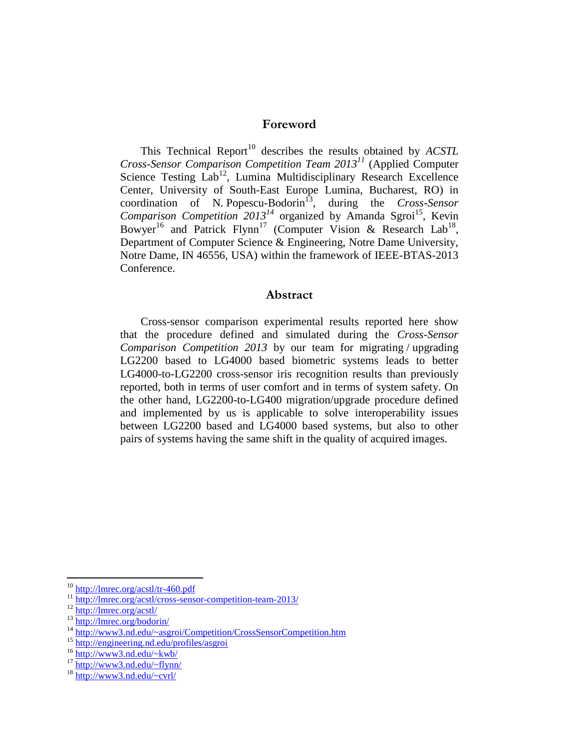### **Foreword**

This Technical Report<sup>10</sup> describes the results obtained by *ACSTL Cross-Sensor Comparison Competition Team 2013<sup>11</sup>* (Applied Computer Science Testing  $Lab^{12}$ , Lumina Multidisciplinary Research Excellence Center, University of South-East Europe Lumina, Bucharest, RO) in coordination of N. Popescu-Bodorin<sup>13</sup>, during the *Cross-Sensor* Comparison Competition  $2013^{14}$  organized by Amanda Sgroi<sup>15</sup>, Kevin Bowyer<sup>16</sup> and Patrick Flynn<sup>17</sup> (Computer Vision & Research Lab<sup>18</sup>, Department of Computer Science & Engineering, Notre Dame University, Notre Dame, IN 46556, USA) within the framework of IEEE-BTAS-2013 Conference.

### **Abstract**

Cross-sensor comparison experimental results reported here show that the procedure defined and simulated during the *Cross-Sensor Comparison Competition 2013* by our team for migrating / upgrading LG2200 based to LG4000 based biometric systems leads to better LG4000-to-LG2200 cross-sensor iris recognition results than previously reported, both in terms of user comfort and in terms of system safety. On the other hand, LG2200-to-LG400 migration/upgrade procedure defined and implemented by us is applicable to solve interoperability issues between LG2200 based and LG4000 based systems, but also to other pairs of systems having the same shift in the quality of acquired images.

1

<sup>&</sup>lt;sup>10</sup> <http://lmrec.org/acstl/tr-460.pdf>

 $\frac{11 \text{ http://lmrec.org/acstl/cross-sensor- competition-team-2013/}}{http://lmrec.org/acstl/cross-sensor-completion-team-2013/}}$ 

<sup>12</sup> <http://lmrec.org/acstl/>

<sup>13</sup> <http://lmrec.org/bodorin/>

<sup>14</sup> <http://www3.nd.edu/~asgroi/Competition/CrossSensorCompetition.htm>

<sup>15</sup> <http://engineering.nd.edu/profiles/asgroi>

<sup>&</sup>lt;sup>16</sup> <http://www3.nd.edu/~kwb/>

 $17 \frac{\text{http://www3.nd.edu/~flynn/}}{$  $17 \frac{\text{http://www3.nd.edu/~flynn/}}{$  $17 \frac{\text{http://www3.nd.edu/~flynn/}}{$ 

<sup>18</sup> <http://www3.nd.edu/~cvrl/>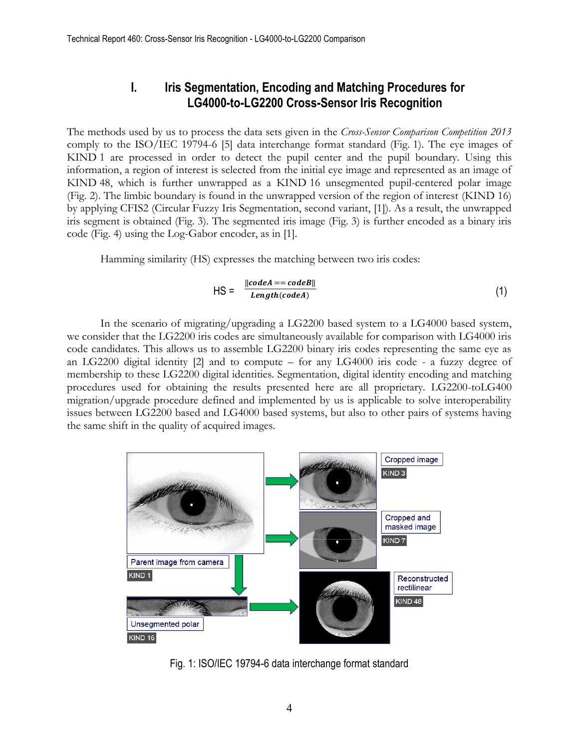## **I. Iris Segmentation, Encoding and Matching Procedures for LG4000-to-LG2200 Cross-Sensor Iris Recognition**

The methods used by us to process the data sets given in the *Cross-Sensor Comparison Competition 2013* comply to the ISO/IEC 19794-6 [\[5\]](#page-17-0) data interchange format standard (Fig. 1). The eye images of KIND 1 are processed in order to detect the pupil center and the pupil boundary. Using this information, a region of interest is selected from the initial eye image and represented as an image of KIND 48, which is further unwrapped as a KIND 16 unsegmented pupil-centered polar image (Fig. 2). The limbic boundary is found in the unwrapped version of the region of interest (KIND 16) by applying CFIS2 (Circular Fuzzy Iris Segmentation, second variant, [\[1\]\)](#page-17-1). As a result, the unwrapped iris segment is obtained (Fig. 3). The segmented iris image (Fig. 3) is further encoded as a binary iris code (Fig. 4) using the Log-Gabor encoder, as in [\[1\].](#page-17-1)

Hamming similarity (HS) expresses the matching between two iris codes:

$$
HS = \frac{||codeA == codeB||}{Length(codeA)} \tag{1}
$$

In the scenario of migrating/upgrading a LG2200 based system to a LG4000 based system, we consider that the LG2200 iris codes are simultaneously available for comparison with LG4000 iris code candidates. This allows us to assemble LG2200 binary iris codes representing the same eye as an LG2200 digital identity [\[2\]](#page-17-2) and to compute – for any LG4000 iris code - a fuzzy degree of membership to these LG2200 digital identities. Segmentation, digital identity encoding and matching procedures used for obtaining the results presented here are all proprietary. LG2200-toLG400 migration/upgrade procedure defined and implemented by us is applicable to solve interoperability issues between LG2200 based and LG4000 based systems, but also to other pairs of systems having the same shift in the quality of acquired images.



Fig. 1: ISO/IEC 19794-6 data interchange format standard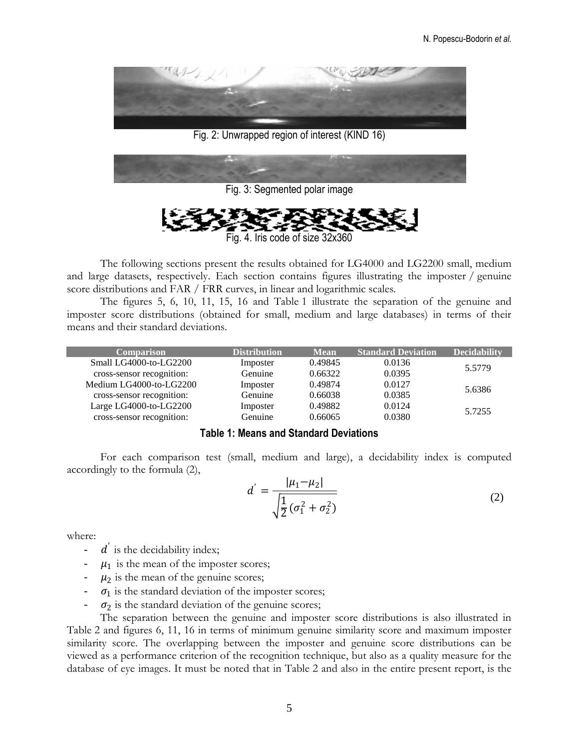

Fig. 2: Unwrapped region of interest (KIND 16)



Fig. 4. Iris code of size 32x360

The following sections present the results obtained for LG4000 and LG2200 small, medium and large datasets, respectively. Each section contains figures illustrating the imposter / genuine score distributions and FAR / FRR curves, in linear and logarithmic scales.

The figures 5, 6, 10, 11, 15, 16 and Table 1 illustrate the separation of the genuine and imposter score distributions (obtained for small, medium and large databases) in terms of their means and their standard deviations.

| Comparison                | <b>Distribution</b> | <b>Mean</b> | <b>Standard Deviation</b> | <b>Decidability</b> |  |
|---------------------------|---------------------|-------------|---------------------------|---------------------|--|
| Small LG4000-to-LG2200    | Imposter            | 0.49845     | 0.0136                    | 5.5779              |  |
| cross-sensor recognition: | Genuine             | 0.66322     | 0.0395                    |                     |  |
| Medium LG4000-to-LG2200   | Imposter            | 0.49874     | 0.0127                    | 5.6386              |  |
| cross-sensor recognition: | Genuine             | 0.66038     | 0.0385                    |                     |  |
| Large LG4000-to-LG2200    | Imposter            | 0.49882     | 0.0124                    | 5.7255              |  |
| cross-sensor recognition: | Genuine             | 0.66065     | 0.0380                    |                     |  |

#### **Table 1: Means and Standard Deviations**

For each comparison test (small, medium and large), a decidability index is computed accordingly to the formula (2),

$$
d' = \frac{|\mu_1 - \mu_2|}{\sqrt{\frac{1}{2}(\sigma_1^2 + \sigma_2^2)}}
$$
 (2)

where:

- $-d$  is the decidability index;
- $-\mu_1$  is the mean of the imposter scores;
- $-\mu_2$  is the mean of the genuine scores;
- $\sigma_1$  is the standard deviation of the imposter scores;
- $\sigma_2$  is the standard deviation of the genuine scores;

The separation between the genuine and imposter score distributions is also illustrated in Table 2 and figures 6, 11, 16 in terms of minimum genuine similarity score and maximum imposter similarity score. The overlapping between the imposter and genuine score distributions can be viewed as a performance criterion of the recognition technique, but also as a quality measure for the database of eye images. It must be noted that in Table 2 and also in the entire present report, is the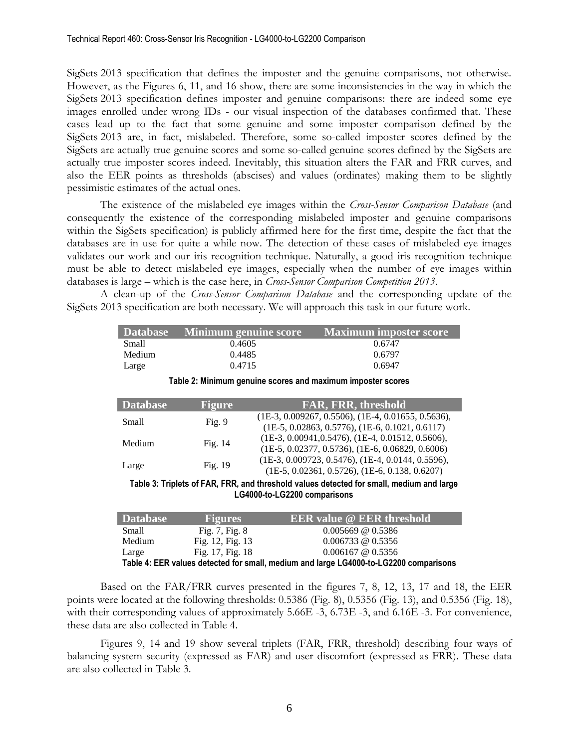SigSets 2013 specification that defines the imposter and the genuine comparisons, not otherwise. However, as the Figures 6, 11, and 16 show, there are some inconsistencies in the way in which the SigSets 2013 specification defines imposter and genuine comparisons: there are indeed some eye images enrolled under wrong IDs - our visual inspection of the databases confirmed that. These cases lead up to the fact that some genuine and some imposter comparison defined by the SigSets 2013 are, in fact, mislabeled. Therefore, some so-called imposter scores defined by the SigSets are actually true genuine scores and some so-called genuine scores defined by the SigSets are actually true imposter scores indeed. Inevitably, this situation alters the FAR and FRR curves, and also the EER points as thresholds (abscises) and values (ordinates) making them to be slightly pessimistic estimates of the actual ones.

The existence of the mislabeled eye images within the *Cross-Sensor Comparison Database* (and consequently the existence of the corresponding mislabeled imposter and genuine comparisons within the SigSets specification) is publicly affirmed here for the first time, despite the fact that the databases are in use for quite a while now. The detection of these cases of mislabeled eye images validates our work and our iris recognition technique. Naturally, a good iris recognition technique must be able to detect mislabeled eye images, especially when the number of eye images within databases is large – which is the case here, in *Cross-Sensor Comparison Competition 2013*.

A clean-up of the *Cross-Sensor Comparison Database* and the corresponding update of the SigSets 2013 specification are both necessary. We will approach this task in our future work.

| <b>Database</b> | Minimum genuine score | Maximum imposter score |
|-----------------|-----------------------|------------------------|
| Small           | 0.4605                | 0.6747                 |
| Medium          | 0.4485                | 0.6797                 |
| Large           | 0.4715                | 0.6947                 |

**Table 2: Minimum genuine scores and maximum imposter scores**

| <b>Database</b>                                                                           | <b>Figure</b> | <b>FAR, FRR, threshold</b>                                                                                |
|-------------------------------------------------------------------------------------------|---------------|-----------------------------------------------------------------------------------------------------------|
| <b>Small</b>                                                                              | Fig. 9        | $(1E-3, 0.009267, 0.5506), (1E-4, 0.01655, 0.5636),$<br>$(1E-5, 0.02863, 0.5776), (1E-6, 0.1021, 0.6117)$ |
| Medium                                                                                    | Fig. 14       | $(1E-3, 0.00941, 0.5476), (1E-4, 0.01512, 0.5606),$<br>$(1E-5, 0.02377, 0.5736), (1E-6, 0.06829, 0.6006)$ |
| Large                                                                                     | Fig. 19       | $(1E-3, 0.009723, 0.5476), (1E-4, 0.0144, 0.5596),$<br>$(1E-5, 0.02361, 0.5726), (1E-6, 0.138, 0.6207)$   |
| Tekle 2: Tripleto of EAD, EDD, and three beld velves detected for omell, medium and lorge |               |                                                                                                           |

**Table 3: Triplets of FAR, FRR, and threshold values detected for small, medium and large LG4000-to-LG2200 comparisons**

| <b>Database</b>                                                                       | <b>Figures</b>     | <b>EER</b> value @ EER threshold |
|---------------------------------------------------------------------------------------|--------------------|----------------------------------|
| Small                                                                                 | Fig. $7,$ Fig. $8$ | $0.005669 \ @ \ 0.5386$          |
| Medium                                                                                | Fig. 12, Fig. 13   | $0.006733$ @ 0.5356              |
| Large                                                                                 | Fig. 17, Fig. 18   | $0.006167$ @ 0.5356              |
| Table 4: EER values detected for small, medium and large LG4000-to-LG2200 comparisons |                    |                                  |

Based on the FAR/FRR curves presented in the figures 7, 8, 12, 13, 17 and 18, the EER points were located at the following thresholds: 0.5386 (Fig. 8), 0.5356 (Fig. 13), and 0.5356 (Fig. 18), with their corresponding values of approximately 5.66E -3, 6.73E -3, and 6.16E -3. For convenience, these data are also collected in Table 4.

Figures 9, 14 and 19 show several triplets (FAR, FRR, threshold) describing four ways of balancing system security (expressed as FAR) and user discomfort (expressed as FRR). These data are also collected in Table 3.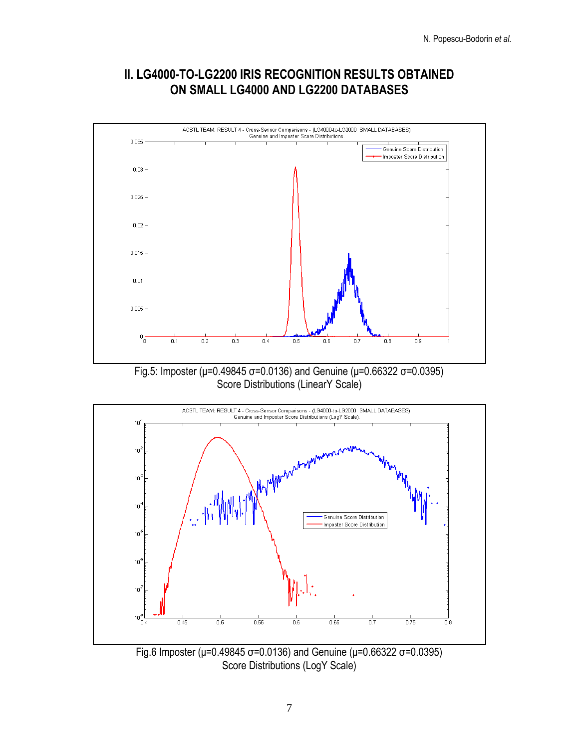## **II. LG4000-TO-LG2200 IRIS RECOGNITION RESULTS OBTAINED ON SMALL LG4000 AND LG2200 DATABASES**



Fig.5: Imposter (μ=0.49845 σ=0.0136) and Genuine (μ=0.66322 σ=0.0395) Score Distributions (LinearY Scale)



Fig.6 Imposter (μ=0.49845 σ=0.0136) and Genuine (μ=0.66322 σ=0.0395) Score Distributions (LogY Scale)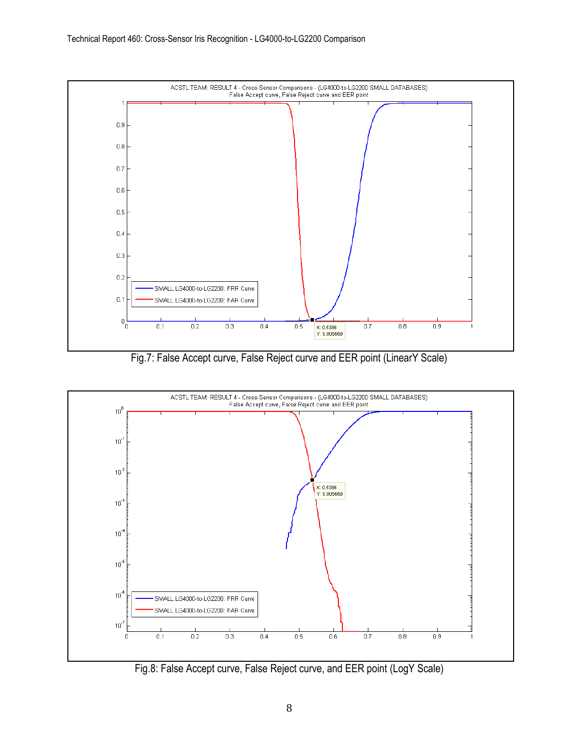

Fig.7: False Accept curve, False Reject curve and EER point (LinearY Scale)



Fig.8: False Accept curve, False Reject curve, and EER point (LogY Scale)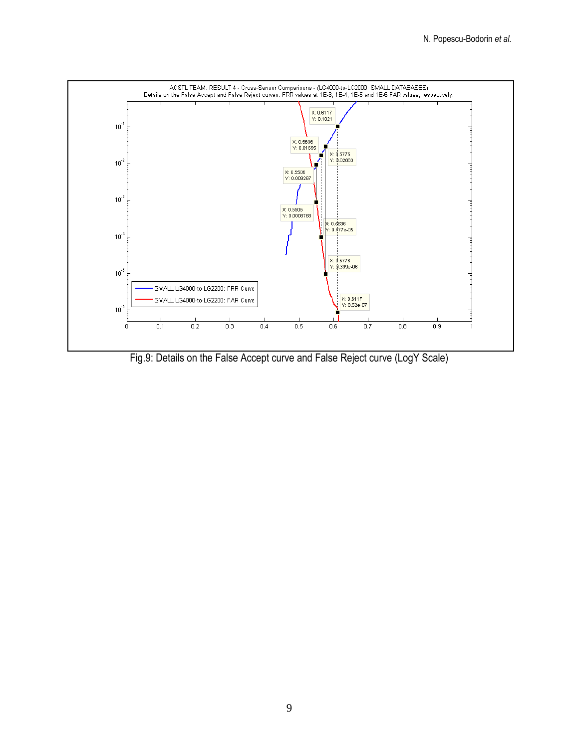

Fig.9: Details on the False Accept curve and False Reject curve (LogY Scale)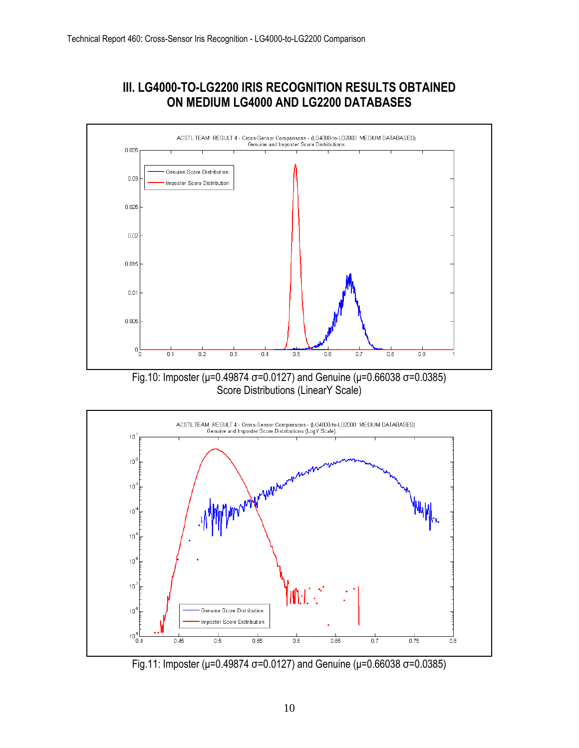## **III. LG4000-TO-LG2200 IRIS RECOGNITION RESULTS OBTAINED ON MEDIUM LG4000 AND LG2200 DATABASES**







Fig.11: Imposter (μ=0.49874 σ=0.0127) and Genuine (μ=0.66038 σ=0.0385)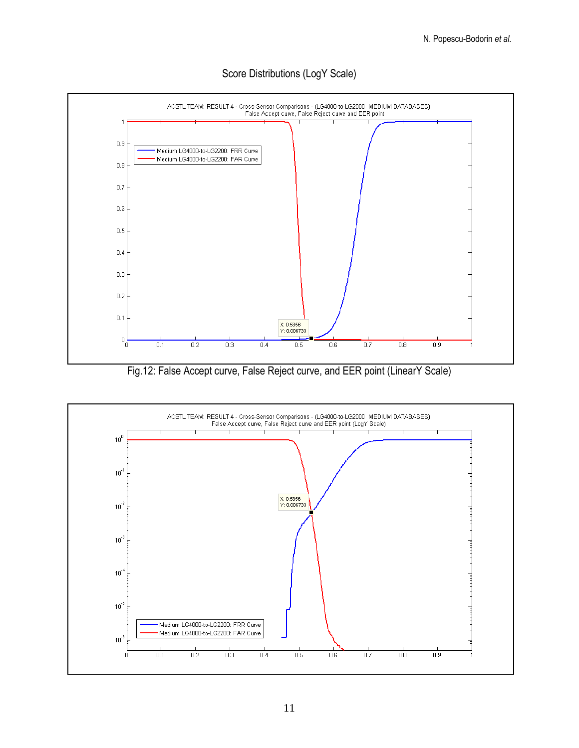

### Score Distributions (LogY Scale)

Fig.12: False Accept curve, False Reject curve, and EER point (LinearY Scale)

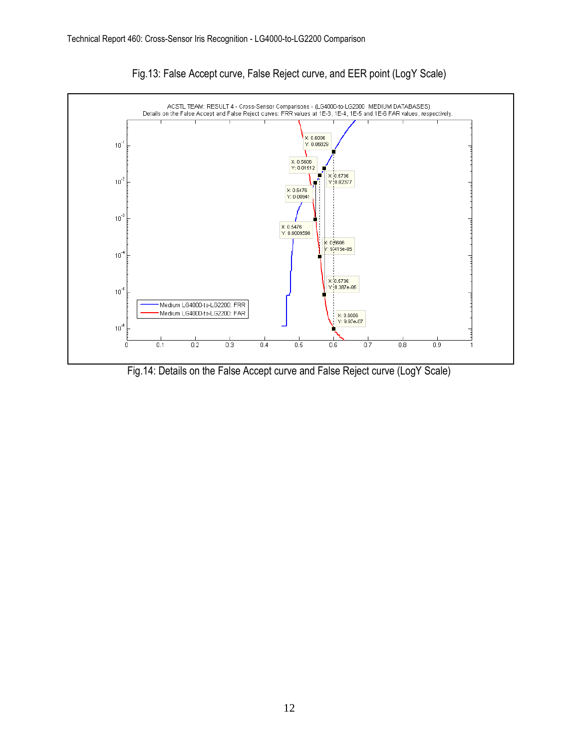

Fig.13: False Accept curve, False Reject curve, and EER point (LogY Scale)

Fig.14: Details on the False Accept curve and False Reject curve (LogY Scale)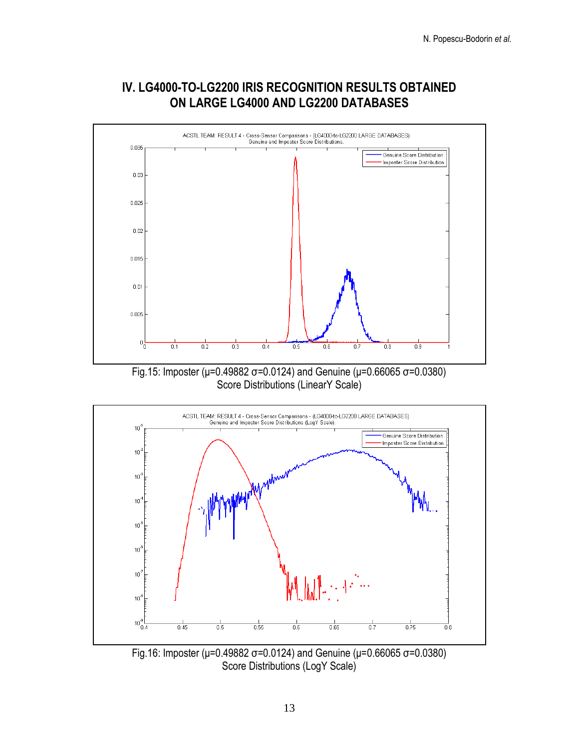



Fig.15: Imposter (μ=0.49882 σ=0.0124) and Genuine (μ=0.66065 σ=0.0380) Score Distributions (LinearY Scale)



Fig.16: Imposter (μ=0.49882 σ=0.0124) and Genuine (μ=0.66065 σ=0.0380) Score Distributions (LogY Scale)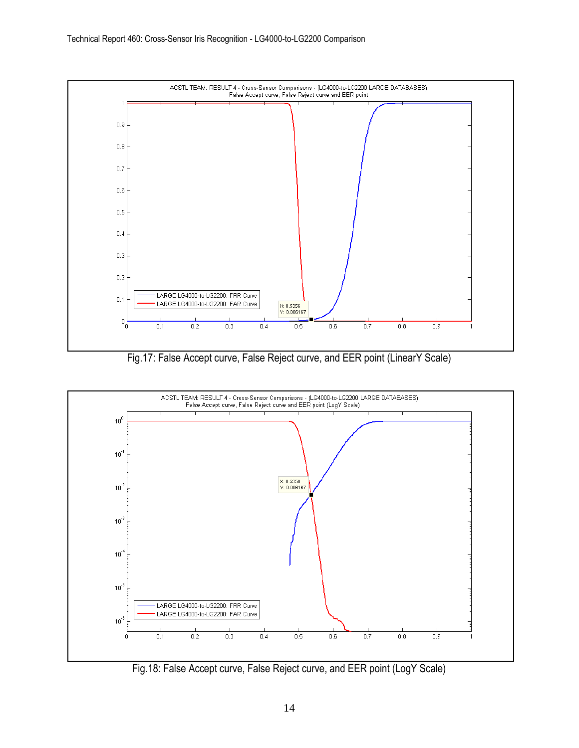

Fig.17: False Accept curve, False Reject curve, and EER point (LinearY Scale)



Fig.18: False Accept curve, False Reject curve, and EER point (LogY Scale)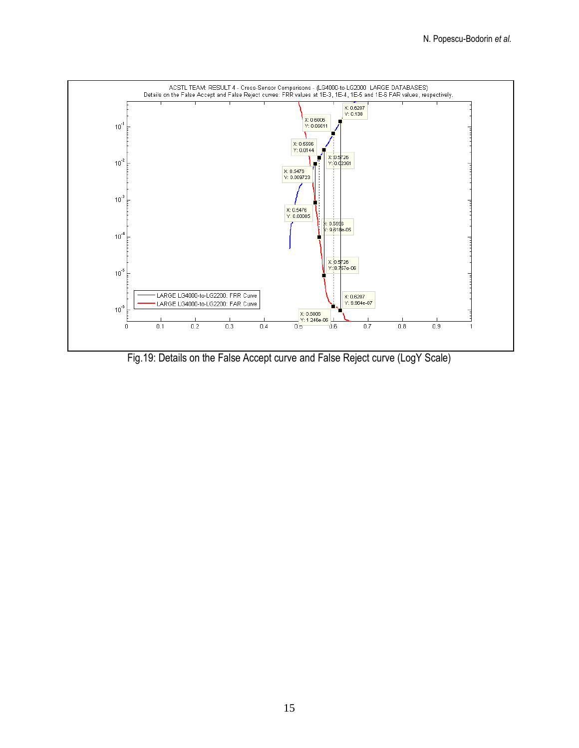

Fig.19: Details on the False Accept curve and False Reject curve (LogY Scale)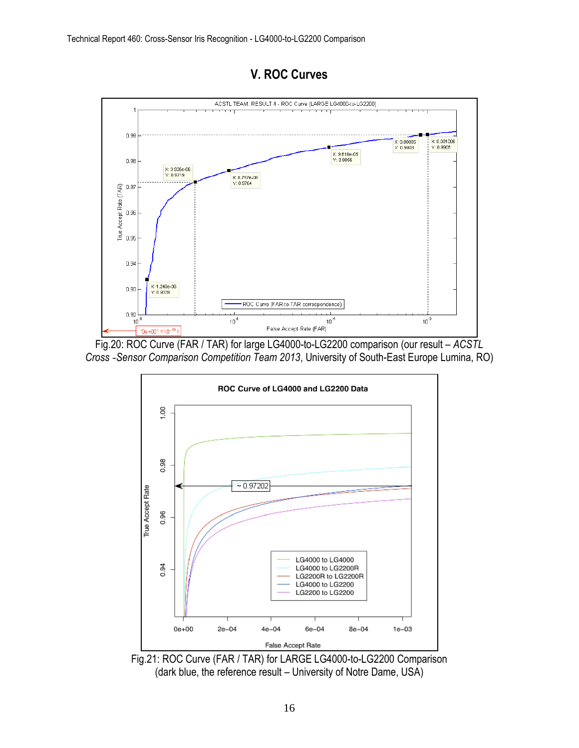# **V. ROC Curves**



Fig.20: ROC Curve (FAR / TAR) for large LG4000-to-LG2200 comparison (our result – *ACSTL Cross -Sensor Comparison Competition Team 2013*, University of South-East Europe Lumina, RO)



Fig.21: ROC Curve (FAR / TAR) for LARGE LG4000-to-LG2200 Comparison (dark blue, the reference result – University of Notre Dame, USA)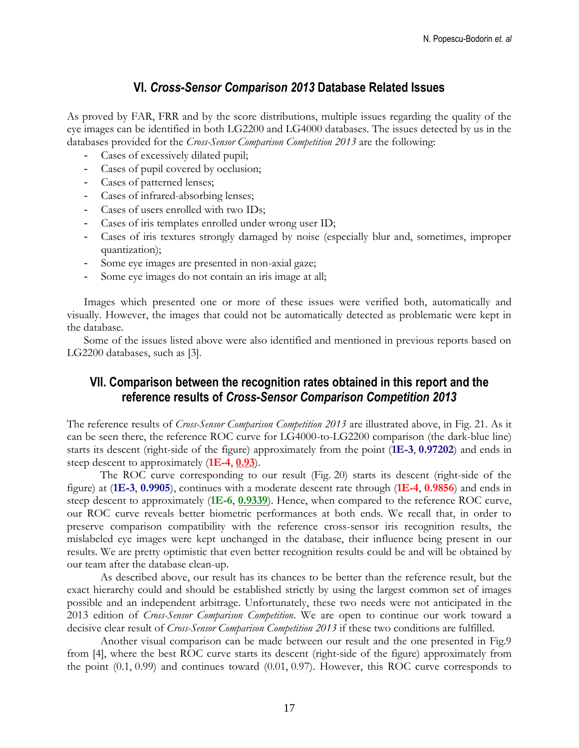## **VI.** *Cross-Sensor Comparison 2013* **Database Related Issues**

As proved by FAR, FRR and by the score distributions, multiple issues regarding the quality of the eye images can be identified in both LG2200 and LG4000 databases. The issues detected by us in the databases provided for the *Cross-Sensor Comparison Competition 2013* are the following:

- Cases of excessively dilated pupil;
- Cases of pupil covered by occlusion;
- Cases of patterned lenses;
- Cases of infrared-absorbing lenses;
- Cases of users enrolled with two IDs;
- Cases of iris templates enrolled under wrong user ID;
- Cases of iris textures strongly damaged by noise (especially blur and, sometimes, improper quantization);
- Some eye images are presented in non-axial gaze;
- Some eye images do not contain an iris image at all;

Images which presented one or more of these issues were verified both, automatically and visually. However, the images that could not be automatically detected as problematic were kept in the database.

Some of the issues listed above were also identified and mentioned in previous reports based on LG2200 databases, such as [\[3\].](#page-17-3)

## **VII. Comparison between the recognition rates obtained in this report and the reference results of** *Cross-Sensor Comparison Competition 2013*

The reference results of *Cross-Sensor Comparison Competition 2013* are illustrated above, in Fig. 21. As it can be seen there, the reference ROC curve for LG4000-to-LG2200 comparison (the dark-blue line) starts its descent (right-side of the figure) approximately from the point (**1E-3**, **0.97202**) and ends in steep descent to approximately (**1E-4**, **0.93**).

The ROC curve corresponding to our result (Fig. 20) starts its descent (right-side of the figure) at (**1E-3**, **0.9905**), continues with a moderate descent rate through (**1E-4**, **0.9856**) and ends in steep descent to approximately (**1E-6**, **0.9339**). Hence, when compared to the reference ROC curve, our ROC curve reveals better biometric performances at both ends. We recall that, in order to preserve comparison compatibility with the reference cross-sensor iris recognition results, the mislabeled eye images were kept unchanged in the database, their influence being present in our results. We are pretty optimistic that even better recognition results could be and will be obtained by our team after the database clean-up.

As described above, our result has its chances to be better than the reference result, but the exact hierarchy could and should be established strictly by using the largest common set of images possible and an independent arbitrage. Unfortunately, these two needs were not anticipated in the 2013 edition of *Cross-Sensor Comparison Competition*. We are open to continue our work toward a decisive clear result of *Cross-Sensor Comparison Competition 2013* if these two conditions are fulfilled.

Another visual comparison can be made between our result and the one presented in Fig.9 from [\[4\],](#page-17-4) where the best ROC curve starts its descent (right-side of the figure) approximately from the point (0.1, 0.99) and continues toward (0.01, 0.97). However, this ROC curve corresponds to